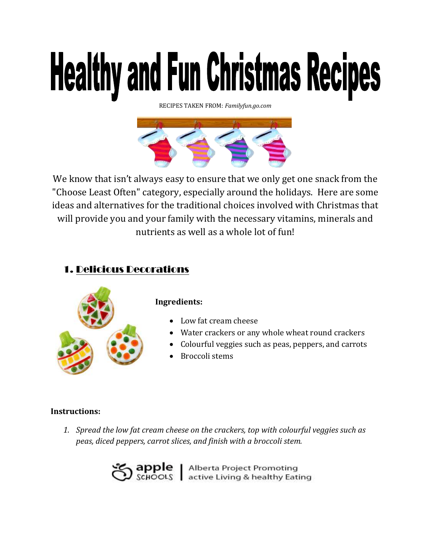# **Healthy and Fun Christmas Recipes**

RECIPES TAKEN FROM: *Familyfun.go.com*



We know that isn't always easy to ensure that we only get one snack from the "Choose Least Often" category, especially around the holidays. Here are some ideas and alternatives for the traditional choices involved with Christmas that will provide you and your family with the necessary vitamins, minerals and nutrients as well as a whole lot of fun!

# 1. Delicious Decorations



#### **Ingredients:**

- Low fat cream cheese
- Water crackers or any whole wheat round crackers
- Colourful veggies such as peas, peppers, and carrots
- Broccoli stems

#### **Instructions:**

*1. Spread the low fat cream cheese on the crackers, top with colourful veggies such as peas, diced peppers, carrot slices, and finish with a broccoli stem.*